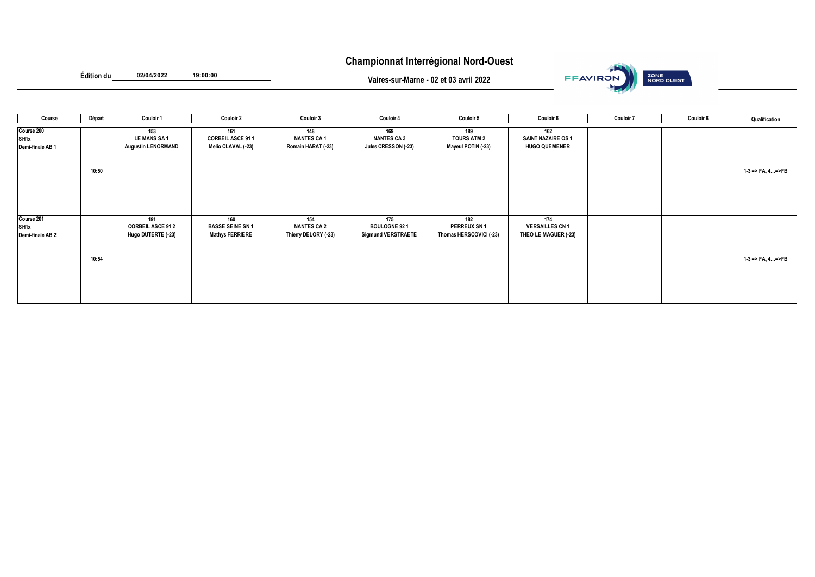## **Championnat Interrégional Nord-Ouest**



**Édition du 02/04/2022 19:00:00**

**Vaires-sur-Marne - 02 et 03 avril 2022**

| Course                                 | Départ | Couloir 1                                              | <b>Couloir 2</b>                                         | Couloir 3                                         | Couloir 4                                               | <b>Couloir 5</b>                                     | Couloir 6                                                | <b>Couloir 7</b> | <b>Couloir 8</b> | Qualification      |
|----------------------------------------|--------|--------------------------------------------------------|----------------------------------------------------------|---------------------------------------------------|---------------------------------------------------------|------------------------------------------------------|----------------------------------------------------------|------------------|------------------|--------------------|
| Course 200<br>SH1x<br>Demi-finale AB 1 | 10:50  | 153<br><b>LE MANS SA1</b><br><b>Augustin LENORMAND</b> | 161<br><b>CORBEIL ASCE 911</b><br>Melio CLAVAL (-23)     | 148<br><b>NANTES CA1</b><br>Romain HARAT (-23)    | 169<br><b>NANTES CA 3</b><br>Jules CRESSON (-23)        | 189<br><b>TOURS ATM 2</b><br>Mayeul POTIN (-23)      | 162<br><b>SAINT NAZAIRE OS 1</b><br><b>HUGO QUEMENER</b> |                  |                  | 1-3 => FA, 4=>FB   |
| Course 201<br>SH1x<br>Demi-finale AB 2 | 10:54  | 191<br><b>CORBEIL ASCE 91 2</b><br>Hugo DUTERTE (-23)  | 160<br><b>BASSE SEINE SN 1</b><br><b>Mathys FERRIERE</b> | 154<br><b>NANTES CA 2</b><br>Thierry DELORY (-23) | 175<br><b>BOULOGNE 921</b><br><b>Sigmund VERSTRAETE</b> | 182<br><b>PERREUX SN1</b><br>Thomas HERSCOVICI (-23) | 174<br><b>VERSAILLES CN 1</b><br>THEO LE MAGUER (-23)    |                  |                  | $1-3$ => FA, 4=>FB |